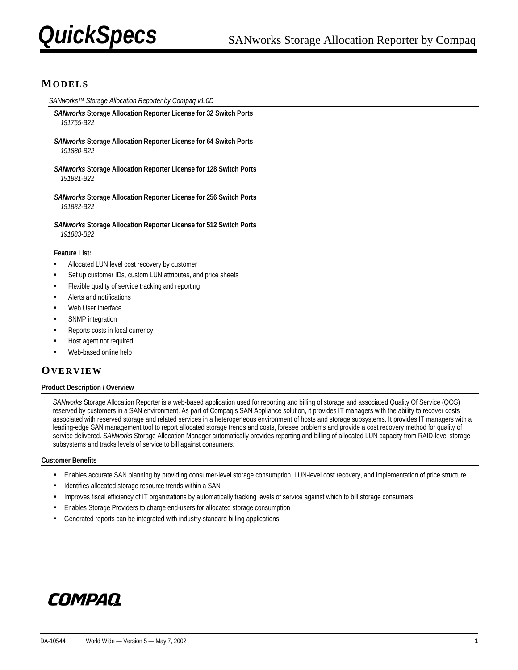

# **MODELS**

*SANworks™ Storage Allocation Reporter by Compaq v1.0D*

- *SANworks* **Storage Allocation Reporter License for 32 Switch Ports**  *191755-B22*
- *SANworks* **Storage Allocation Reporter License for 64 Switch Ports**  *191880-B22*
- *SANworks* **Storage Allocation Reporter License for 128 Switch Ports**  *191881-B22*
- *SANworks* **Storage Allocation Reporter License for 256 Switch Ports**  *191882-B22*

*SANworks* **Storage Allocation Reporter License for 512 Switch Ports**  *191883-B22* 

#### **Feature List:**

- Allocated LUN level cost recovery by customer
- Set up customer IDs, custom LUN attributes, and price sheets
- Flexible quality of service tracking and reporting
- Alerts and notifications
- Web User Interface
- SNMP integration
- Reports costs in local currency
- Host agent not required
- Web-based online help

### **OVERVIEW**

#### **Product Description / Overview**

*SANworks* Storage Allocation Reporter is a web-based application used for reporting and billing of storage and associated Quality Of Service (QOS) reserved by customers in a SAN environment. As part of Compaq's SAN Appliance solution, it provides IT managers with the ability to recover costs associated with reserved storage and related services in a heterogeneous environment of hosts and storage subsystems. It provides IT managers with a leading-edge SAN management tool to report allocated storage trends and costs, foresee problems and provide a cost recovery method for quality of service delivered. *SANworks* Storage Allocation Manager automatically provides reporting and billing of allocated LUN capacity from RAID-level storage subsystems and tracks levels of service to bill against consumers.

#### **Customer Benefits**

- Enables accurate SAN planning by providing consumer-level storage consumption, LUN-level cost recovery, and implementation of price structure
- Identifies allocated storage resource trends within a SAN
- Improves fiscal efficiency of IT organizations by automatically tracking levels of service against which to bill storage consumers
- Enables Storage Providers to charge end-users for allocated storage consumption
- Generated reports can be integrated with industry-standard billing applications

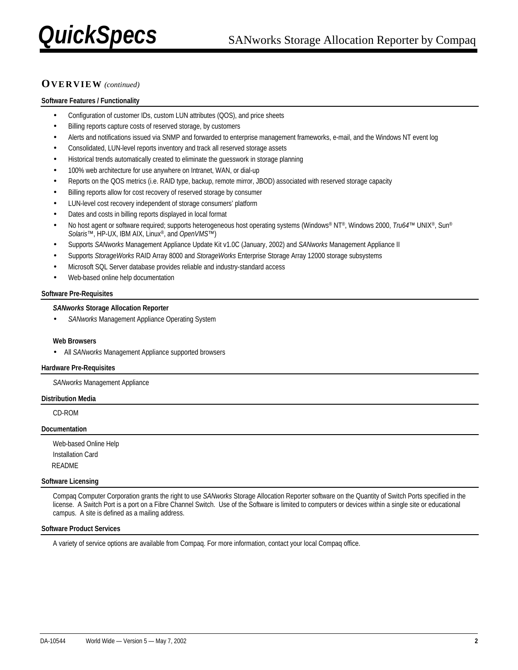# **OVERVIEW** *(continued)*

#### **Software Features / Functionality**

- Configuration of customer IDs, custom LUN attributes (QOS), and price sheets
- Billing reports capture costs of reserved storage, by customers
- Alerts and notifications issued via SNMP and forwarded to enterprise management frameworks, e-mail, and the Windows NT event log
- Consolidated, LUN-level reports inventory and track all reserved storage assets
- Historical trends automatically created to eliminate the guesswork in storage planning
- 100% web architecture for use anywhere on Intranet, WAN, or dial-up
- Reports on the QOS metrics (i.e. RAID type, backup, remote mirror, JBOD) associated with reserved storage capacity
- Billing reports allow for cost recovery of reserved storage by consumer
- LUN-level cost recovery independent of storage consumers' platform
- Dates and costs in billing reports displayed in local format
- No host agent or software required; supports heterogeneous host operating systems (Windows® NT®, Windows 2000, *Tru64*™ UNIX®, Sun® *Solaris*™, HP-UX, IBM AIX, Linux®, and *OpenVMS™*)
- Supports *SANworks* Management Appliance Update Kit v1.0C (January, 2002) and *SANworks* Management Appliance II
- Supports *StorageWorks* RAID Array 8000 and *StorageWorks* Enterprise Storage Array 12000 storage subsystems
- Microsoft SQL Server database provides reliable and industry-standard access
- Web-based online help documentation

#### **Software Pre-Requisites**

#### *SANworks* **Storage Allocation Reporter**

• *SANworks* Management Appliance Operating System

#### **Web Browsers**

• All *SANworks* Management Appliance supported browsers

#### **Hardware Pre-Requisites**

*SANworks* Management Appliance

#### **Distribution Media**

CD-ROM

#### **Documentation**

Web-based Online Help Installation Card README

#### **Software Licensing**

Compaq Computer Corporation grants the right to use *SANworks* Storage Allocation Reporter software on the Quantity of Switch Ports specified in the license. A Switch Port is a port on a Fibre Channel Switch. Use of the Software is limited to computers or devices within a single site or educational campus. A site is defined as a mailing address.

#### **Software Product Services**

A variety of service options are available from Compaq. For more information, contact your local Compaq office.